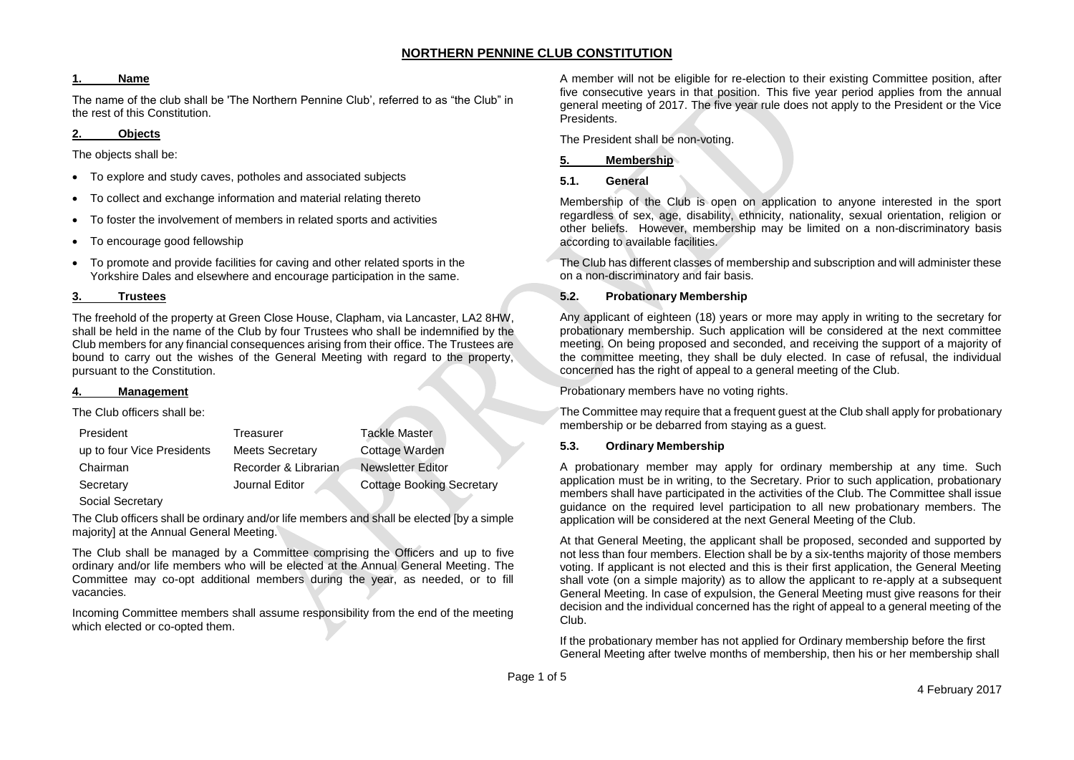#### **1. Name**

The name of the club shall be 'The Northern Pennine Club', referred to as "the Club" in the rest of this Constitution.

#### **2. Objects**

The objects shall be:

- To explore and study caves, potholes and associated subjects
- To collect and exchange information and material relating thereto
- To foster the involvement of members in related sports and activities
- To encourage good fellowship
- To promote and provide facilities for caving and other related sports in the Yorkshire Dales and elsewhere and encourage participation in the same.

## **3. Trustees**

The freehold of the property at Green Close House, Clapham, via Lancaster, LA2 8HW, shall be held in the name of the Club by four Trustees who shall be indemnified by the Club members for any financial consequences arising from their office. The Trustees are bound to carry out the wishes of the General Meeting with regard to the property, pursuant to the Constitution.

## **4. Management**

The Club officers shall be:

| President                  | Treasurer              | <b>Tackle Master</b>             |
|----------------------------|------------------------|----------------------------------|
| up to four Vice Presidents | <b>Meets Secretary</b> | Cottage Warden                   |
| Chairman                   | Recorder & Librarian   | <b>Newsletter Editor</b>         |
| Secretary                  | Journal Editor         | <b>Cottage Booking Secretary</b> |

Social Secretary

The Club officers shall be ordinary and/or life members and shall be elected [by a simple majority] at the Annual General Meeting.

The Club shall be managed by a Committee comprising the Officers and up to five ordinary and/or life members who will be elected at the Annual General Meeting. The Committee may co-opt additional members during the year, as needed, or to fill vacancies.

Incoming Committee members shall assume responsibility from the end of the meeting which elected or co-opted them.

A member will not be eligible for re-election to their existing Committee position, after five consecutive years in that position. This five year period applies from the annual general meeting of 2017. The five year rule does not apply to the President or the Vice Presidents.

The President shall be non-voting.

## **5. Membership**

#### **5.1. General**

Membership of the Club is open on application to anyone interested in the sport regardless of sex, age, disability, ethnicity, nationality, sexual orientation, religion or other beliefs. However, membership may be limited on a non-discriminatory basis according to available facilities.

The Club has different classes of membership and subscription and will administer these on a non-discriminatory and fair basis.

# **5.2. Probationary Membership**

Any applicant of eighteen (18) years or more may apply in writing to the secretary for probationary membership. Such application will be considered at the next committee meeting. On being proposed and seconded, and receiving the support of a majority of the committee meeting, they shall be duly elected. In case of refusal, the individual concerned has the right of appeal to a general meeting of the Club.

Probationary members have no voting rights.

The Committee may require that a frequent guest at the Club shall apply for probationary membership or be debarred from staying as a guest.

## **5.3. Ordinary Membership**

A probationary member may apply for ordinary membership at any time. Such application must be in writing, to the Secretary. Prior to such application, probationary members shall have participated in the activities of the Club. The Committee shall issue guidance on the required level participation to all new probationary members. The application will be considered at the next General Meeting of the Club.

At that General Meeting, the applicant shall be proposed, seconded and supported by not less than four members. Election shall be by a six-tenths majority of those members voting. If applicant is not elected and this is their first application, the General Meeting shall vote (on a simple majority) as to allow the applicant to re-apply at a subsequent General Meeting. In case of expulsion, the General Meeting must give reasons for their decision and the individual concerned has the right of appeal to a general meeting of the Club.

If the probationary member has not applied for Ordinary membership before the first General Meeting after twelve months of membership, then his or her membership shall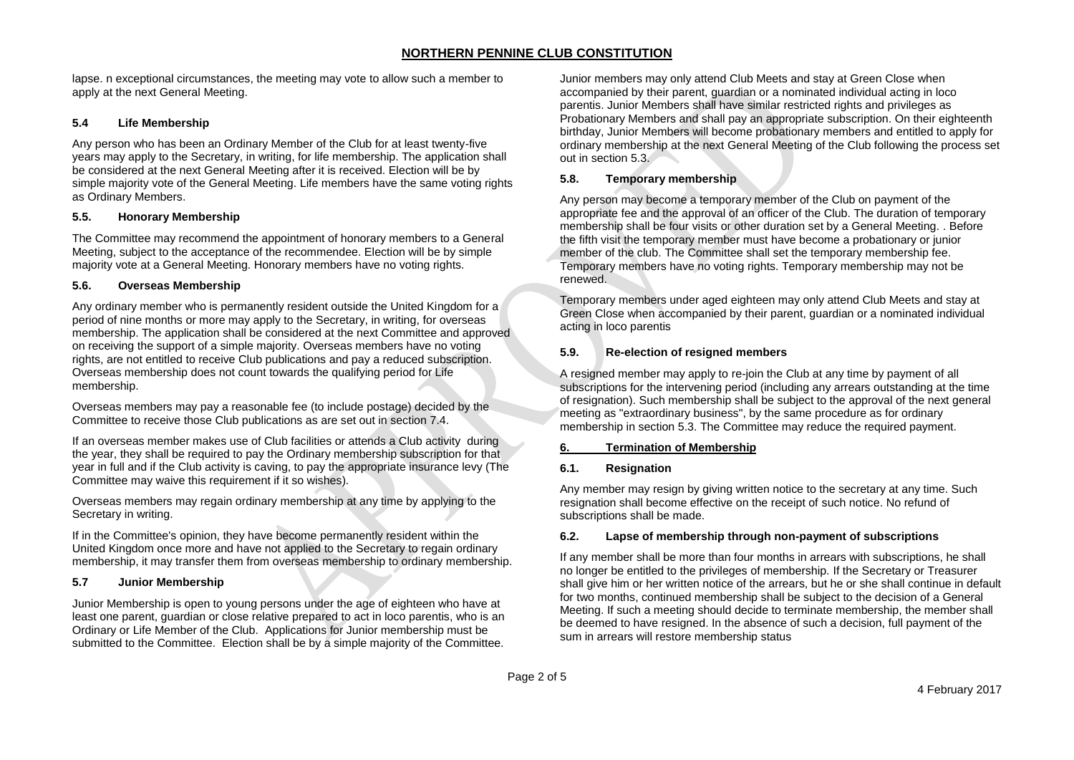lapse. n exceptional circumstances, the meeting may vote to allow such a member to apply at the next General Meeting.

## **5.4 Life Membership**

Any person who has been an Ordinary Member of the Club for at least twenty-five years may apply to the Secretary, in writing, for life membership. The application shall be considered at the next General Meeting after it is received. Election will be by simple majority vote of the General Meeting. Life members have the same voting rights as Ordinary Members.

# **5.5. Honorary Membership**

The Committee may recommend the appointment of honorary members to a General Meeting, subject to the acceptance of the recommendee. Election will be by simple majority vote at a General Meeting. Honorary members have no voting rights.

## **5.6. Overseas Membership**

Any ordinary member who is permanently resident outside the United Kingdom for a period of nine months or more may apply to the Secretary, in writing, for overseas membership. The application shall be considered at the next Committee and approved on receiving the support of a simple majority. Overseas members have no voting rights, are not entitled to receive Club publications and pay a reduced subscription. Overseas membership does not count towards the qualifying period for Life membership.

Overseas members may pay a reasonable fee (to include postage) decided by the Committee to receive those Club publications as are set out in section 7.4.

If an overseas member makes use of Club facilities or attends a Club activity during the year, they shall be required to pay the Ordinary membership subscription for that year in full and if the Club activity is caving, to pay the appropriate insurance levy (The Committee may waive this requirement if it so wishes).

Overseas members may regain ordinary membership at any time by applying to the Secretary in writing.

If in the Committee's opinion, they have become permanently resident within the United Kingdom once more and have not applied to the Secretary to regain ordinary membership, it may transfer them from overseas membership to ordinary membership.

## **5.7 Junior Membership**

Junior Membership is open to young persons under the age of eighteen who have at least one parent, guardian or close relative prepared to act in loco parentis, who is an Ordinary or Life Member of the Club. Applications for Junior membership must be submitted to the Committee. Election shall be by a simple majority of the Committee. Junior members may only attend Club Meets and stay at Green Close when accompanied by their parent, guardian or a nominated individual acting in loco parentis. Junior Members shall have similar restricted rights and privileges as Probationary Members and shall pay an appropriate subscription. On their eighteenth birthday, Junior Members will become probationary members and entitled to apply for ordinary membership at the next General Meeting of the Club following the process set out in section 5.3.

# **5.8. Temporary membership**

Any person may become a temporary member of the Club on payment of the appropriate fee and the approval of an officer of the Club. The duration of temporary membership shall be four visits or other duration set by a General Meeting. . Before the fifth visit the temporary member must have become a probationary or junior member of the club. The Committee shall set the temporary membership fee. Temporary members have no voting rights. Temporary membership may not be renewed.

Temporary members under aged eighteen may only attend Club Meets and stay at Green Close when accompanied by their parent, guardian or a nominated individual acting in loco parentis

# **5.9. Re-election of resigned members**

A resigned member may apply to re-join the Club at any time by payment of all subscriptions for the intervening period (including any arrears outstanding at the time of resignation). Such membership shall be subject to the approval of the next general meeting as "extraordinary business", by the same procedure as for ordinary membership in section 5.3. The Committee may reduce the required payment.

# **6. Termination of Membership**

# **6.1. Resignation**

Any member may resign by giving written notice to the secretary at any time. Such resignation shall become effective on the receipt of such notice. No refund of subscriptions shall be made.

## **6.2. Lapse of membership through non-payment of subscriptions**

If any member shall be more than four months in arrears with subscriptions, he shall no longer be entitled to the privileges of membership. If the Secretary or Treasurer shall give him or her written notice of the arrears, but he or she shall continue in default for two months, continued membership shall be subject to the decision of a General Meeting. If such a meeting should decide to terminate membership, the member shall be deemed to have resigned. In the absence of such a decision, full payment of the sum in arrears will restore membership status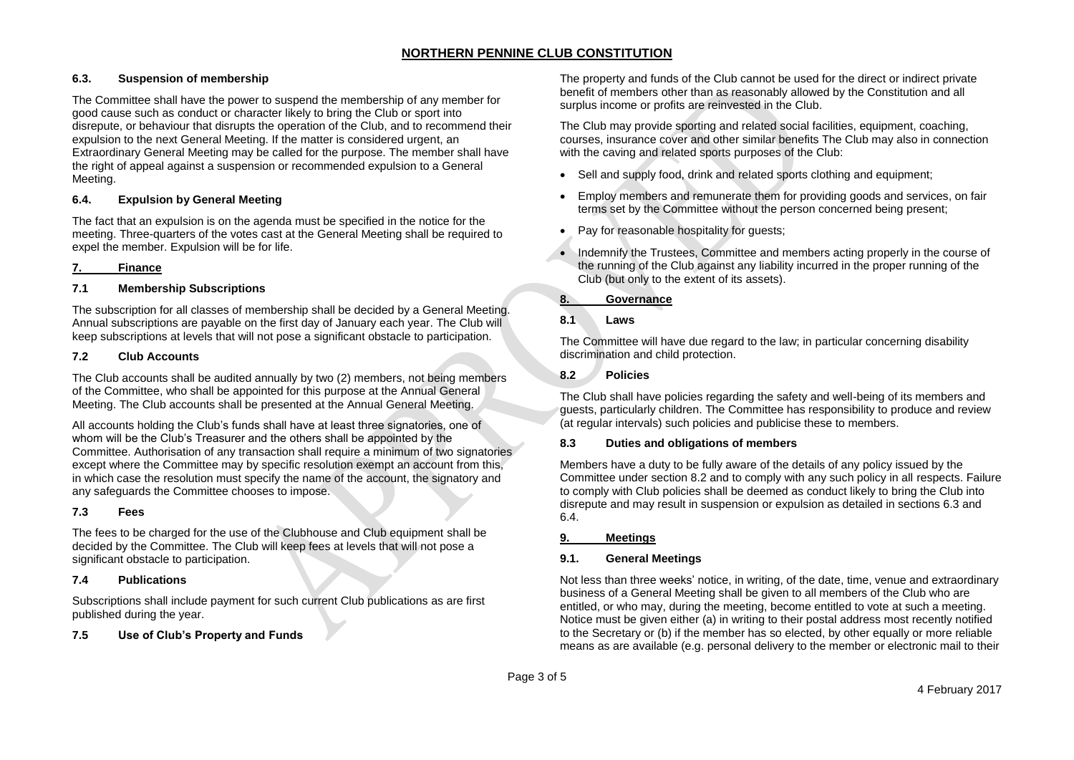# **6.3. Suspension of membership**

The Committee shall have the power to suspend the membership of any member for good cause such as conduct or character likely to bring the Club or sport into disrepute, or behaviour that disrupts the operation of the Club, and to recommend their expulsion to the next General Meeting. If the matter is considered urgent, an Extraordinary General Meeting may be called for the purpose. The member shall have the right of appeal against a suspension or recommended expulsion to a General Meeting.

#### **6.4. Expulsion by General Meeting**

The fact that an expulsion is on the agenda must be specified in the notice for the meeting. Three-quarters of the votes cast at the General Meeting shall be required to expel the member. Expulsion will be for life.

#### **7. Finance**

#### **7.1 Membership Subscriptions**

The subscription for all classes of membership shall be decided by a General Meeting. Annual subscriptions are payable on the first day of January each year. The Club will keep subscriptions at levels that will not pose a significant obstacle to participation.

#### **7.2 Club Accounts**

The Club accounts shall be audited annually by two (2) members, not being members of the Committee, who shall be appointed for this purpose at the Annual General Meeting. The Club accounts shall be presented at the Annual General Meeting.

All accounts holding the Club's funds shall have at least three signatories, one of whom will be the Club's Treasurer and the others shall be appointed by the Committee. Authorisation of any transaction shall require a minimum of two signatories except where the Committee may by specific resolution exempt an account from this, in which case the resolution must specify the name of the account, the signatory and any safeguards the Committee chooses to impose.

#### **7.3 Fees**

The fees to be charged for the use of the Clubhouse and Club equipment shall be decided by the Committee. The Club will keep fees at levels that will not pose a significant obstacle to participation.

#### **7.4 Publications**

Subscriptions shall include payment for such current Club publications as are first published during the year.

## **7.5 Use of Club's Property and Funds**

The property and funds of the Club cannot be used for the direct or indirect private benefit of members other than as reasonably allowed by the Constitution and all surplus income or profits are reinvested in the Club.

The Club may provide sporting and related social facilities, equipment, coaching, courses, insurance cover and other similar benefits The Club may also in connection with the caving and related sports purposes of the Club:

- Sell and supply food, drink and related sports clothing and equipment:
- Employ members and remunerate them for providing goods and services, on fair terms set by the Committee without the person concerned being present;
- Pay for reasonable hospitality for guests;
- Indemnify the Trustees, Committee and members acting properly in the course of the running of the Club against any liability incurred in the proper running of the Club (but only to the extent of its assets).

# **8. Governance**

#### **8.1 Laws**

The Committee will have due regard to the law; in particular concerning disability discrimination and child protection.

#### **8.2 Policies**

The Club shall have policies regarding the safety and well-being of its members and guests, particularly children. The Committee has responsibility to produce and review (at regular intervals) such policies and publicise these to members.

#### **8.3 Duties and obligations of members**

Members have a duty to be fully aware of the details of any policy issued by the Committee under section 8.2 and to comply with any such policy in all respects. Failure to comply with Club policies shall be deemed as conduct likely to bring the Club into disrepute and may result in suspension or expulsion as detailed in sections 6.3 and 6.4.

#### **9. Meetings**

## **9.1. General Meetings**

Not less than three weeks' notice, in writing, of the date, time, venue and extraordinary business of a General Meeting shall be given to all members of the Club who are entitled, or who may, during the meeting, become entitled to vote at such a meeting. Notice must be given either (a) in writing to their postal address most recently notified to the Secretary or (b) if the member has so elected, by other equally or more reliable means as are available (e.g. personal delivery to the member or electronic mail to their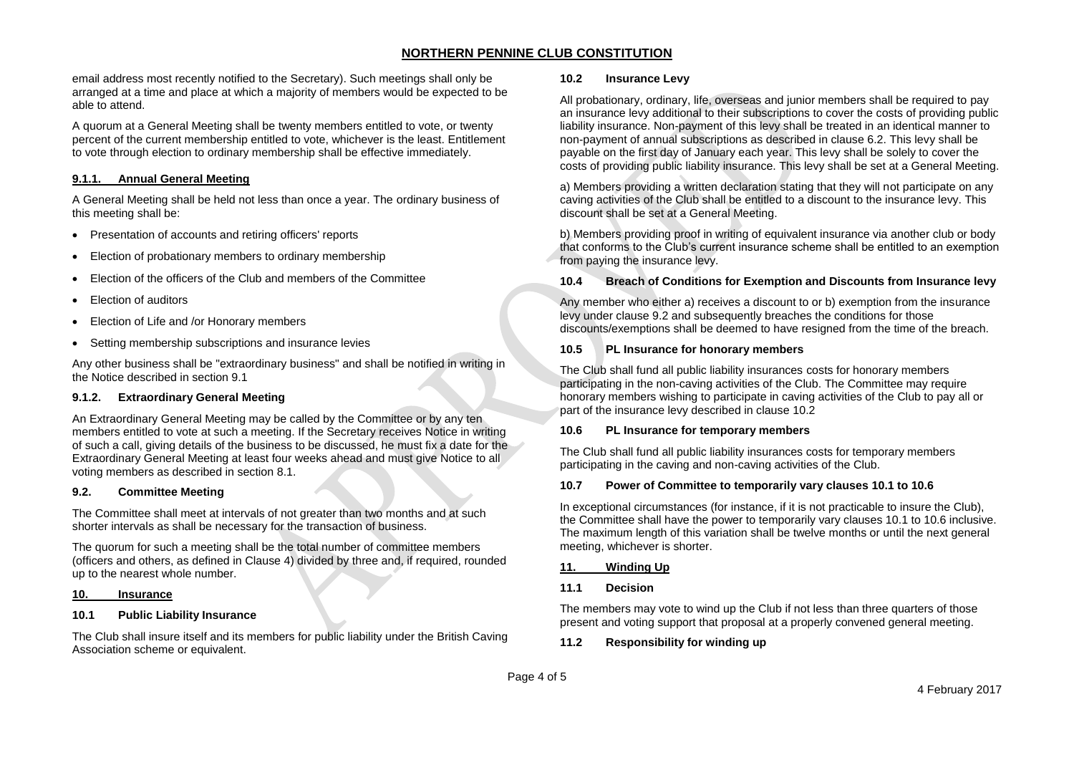email address most recently notified to the Secretary). Such meetings shall only be arranged at a time and place at which a majority of members would be expected to be able to attend.

A quorum at a General Meeting shall be twenty members entitled to vote, or twenty percent of the current membership entitled to vote, whichever is the least. Entitlement to vote through election to ordinary membership shall be effective immediately.

#### **9.1.1. Annual General Meeting**

A General Meeting shall be held not less than once a year. The ordinary business of this meeting shall be:

- Presentation of accounts and retiring officers' reports
- Election of probationary members to ordinary membership
- Election of the officers of the Club and members of the Committee
- Election of auditors
- Election of Life and /or Honorary members
- Setting membership subscriptions and insurance levies

Any other business shall be "extraordinary business" and shall be notified in writing in the Notice described in section 9.1

## **9.1.2. Extraordinary General Meeting**

An Extraordinary General Meeting may be called by the Committee or by any ten members entitled to vote at such a meeting. If the Secretary receives Notice in writing of such a call, giving details of the business to be discussed, he must fix a date for the Extraordinary General Meeting at least four weeks ahead and must give Notice to all voting members as described in section 8.1.

#### **9.2. Committee Meeting**

The Committee shall meet at intervals of not greater than two months and at such shorter intervals as shall be necessary for the transaction of business.

The quorum for such a meeting shall be the total number of committee members (officers and others, as defined in Clause 4) divided by three and, if required, rounded up to the nearest whole number.

#### **10. Insurance**

# **10.1 Public Liability Insurance**

The Club shall insure itself and its members for public liability under the British Caving Association scheme or equivalent.

#### **10.2 Insurance Levy**

All probationary, ordinary, life, overseas and junior members shall be required to pay an insurance levy additional to their subscriptions to cover the costs of providing public liability insurance. Non-payment of this levy shall be treated in an identical manner to non-payment of annual subscriptions as described in clause 6.2. This levy shall be payable on the first day of January each year. This levy shall be solely to cover the costs of providing public liability insurance. This levy shall be set at a General Meeting.

a) Members providing a written declaration stating that they will not participate on any caving activities of the Club shall be entitled to a discount to the insurance levy. This discount shall be set at a General Meeting.

b) Members providing proof in writing of equivalent insurance via another club or body that conforms to the Club's current insurance scheme shall be entitled to an exemption from paying the insurance levy.

## **10.4 Breach of Conditions for Exemption and Discounts from Insurance levy**

Any member who either a) receives a discount to or b) exemption from the insurance levy under clause 9.2 and subsequently breaches the conditions for those discounts/exemptions shall be deemed to have resigned from the time of the breach.

#### **10.5 PL Insurance for honorary members**

The Club shall fund all public liability insurances costs for honorary members participating in the non-caving activities of the Club. The Committee may require honorary members wishing to participate in caving activities of the Club to pay all or part of the insurance levy described in clause 10.2

## **10.6 PL Insurance for temporary members**

The Club shall fund all public liability insurances costs for temporary members participating in the caving and non-caving activities of the Club.

## **10.7 Power of Committee to temporarily vary clauses 10.1 to 10.6**

In exceptional circumstances (for instance, if it is not practicable to insure the Club), the Committee shall have the power to temporarily vary clauses 10.1 to 10.6 inclusive. The maximum length of this variation shall be twelve months or until the next general meeting, whichever is shorter.

## **11. Winding Up**

## **11.1 Decision**

The members may vote to wind up the Club if not less than three quarters of those present and voting support that proposal at a properly convened general meeting.

## **11.2 Responsibility for winding up**